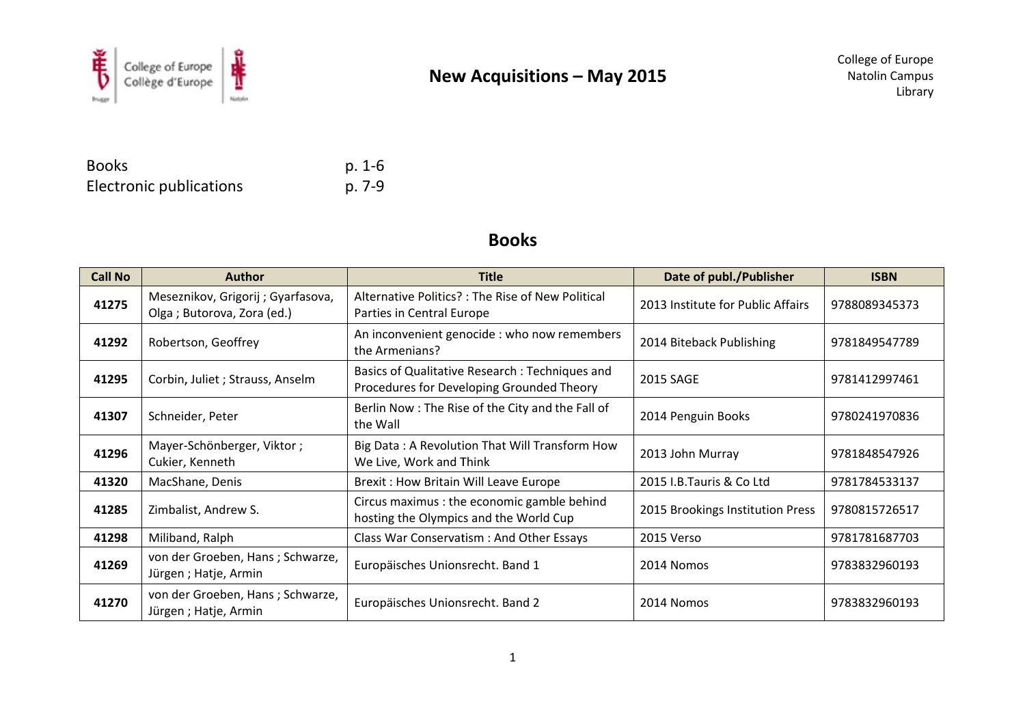

| <b>Books</b>                   | $p. 1-6$ |
|--------------------------------|----------|
| <b>Electronic publications</b> | p. 7-9   |

### **Books**

| <b>Call No</b> | <b>Author</b>                                                    | <b>Title</b>                                                                                | Date of publ./Publisher           | <b>ISBN</b>   |
|----------------|------------------------------------------------------------------|---------------------------------------------------------------------------------------------|-----------------------------------|---------------|
| 41275          | Meseznikov, Grigorij ; Gyarfasova,<br>Olga; Butorova, Zora (ed.) | Alternative Politics? : The Rise of New Political<br>Parties in Central Europe              | 2013 Institute for Public Affairs | 9788089345373 |
| 41292          | Robertson, Geoffrey                                              | An inconvenient genocide : who now remembers<br>the Armenians?                              | 2014 Biteback Publishing          | 9781849547789 |
| 41295          | Corbin, Juliet ; Strauss, Anselm                                 | Basics of Qualitative Research: Techniques and<br>Procedures for Developing Grounded Theory | 2015 SAGE                         | 9781412997461 |
| 41307          | Schneider, Peter                                                 | Berlin Now: The Rise of the City and the Fall of<br>the Wall                                | 2014 Penguin Books                | 9780241970836 |
| 41296          | Mayer-Schönberger, Viktor;<br>Cukier, Kenneth                    | Big Data: A Revolution That Will Transform How<br>We Live, Work and Think                   | 2013 John Murray                  | 9781848547926 |
| 41320          | MacShane, Denis                                                  | <b>Brexit: How Britain Will Leave Europe</b>                                                | 2015 I.B.Tauris & Co Ltd          | 9781784533137 |
| 41285          | Zimbalist, Andrew S.                                             | Circus maximus : the economic gamble behind<br>hosting the Olympics and the World Cup       | 2015 Brookings Institution Press  | 9780815726517 |
| 41298          | Miliband, Ralph                                                  | Class War Conservatism: And Other Essays                                                    | 2015 Verso                        | 9781781687703 |
| 41269          | von der Groeben, Hans; Schwarze,<br>Jürgen; Hatje, Armin         | Europäisches Unionsrecht. Band 1                                                            | 2014 Nomos                        | 9783832960193 |
| 41270          | von der Groeben, Hans; Schwarze,<br>Jürgen; Hatje, Armin         | Europäisches Unionsrecht. Band 2                                                            | 2014 Nomos                        | 9783832960193 |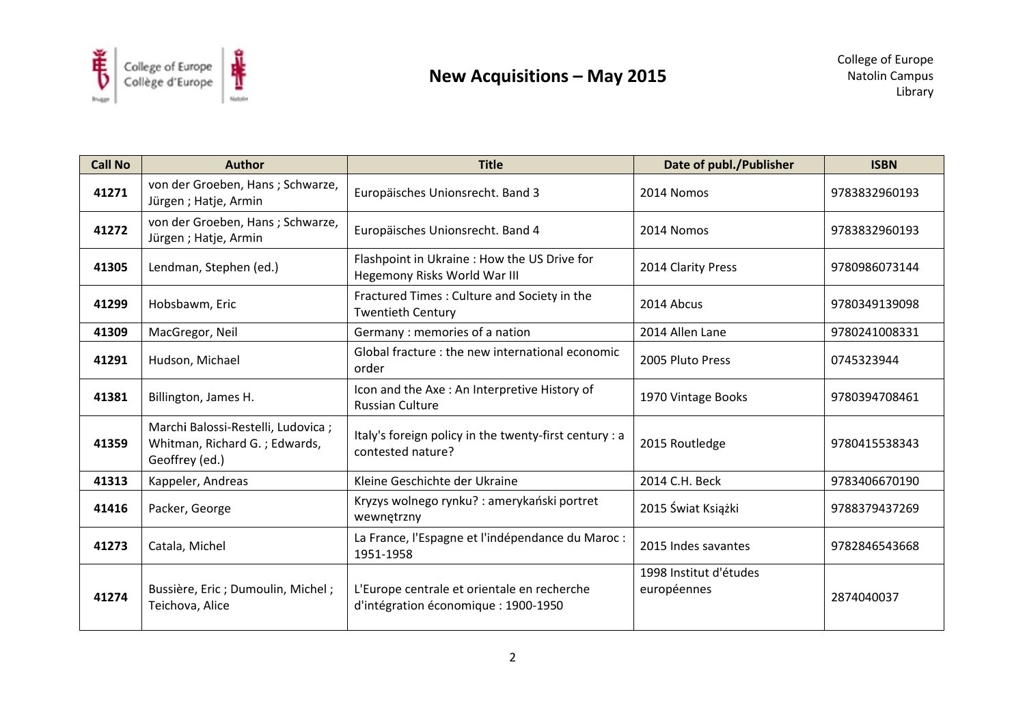

| <b>Call No</b> | <b>Author</b>                                                                         | <b>Title</b>                                                                        | Date of publ./Publisher               | <b>ISBN</b>   |
|----------------|---------------------------------------------------------------------------------------|-------------------------------------------------------------------------------------|---------------------------------------|---------------|
| 41271          | von der Groeben, Hans; Schwarze,<br>Jürgen; Hatje, Armin                              | Europäisches Unionsrecht. Band 3                                                    | 2014 Nomos                            | 9783832960193 |
| 41272          | von der Groeben, Hans; Schwarze,<br>Jürgen; Hatje, Armin                              | Europäisches Unionsrecht. Band 4                                                    | 2014 Nomos                            | 9783832960193 |
| 41305          | Lendman, Stephen (ed.)                                                                | Flashpoint in Ukraine: How the US Drive for<br>Hegemony Risks World War III         | 2014 Clarity Press                    | 9780986073144 |
| 41299          | Hobsbawm, Eric                                                                        | Fractured Times: Culture and Society in the<br><b>Twentieth Century</b>             | 2014 Abcus                            | 9780349139098 |
| 41309          | MacGregor, Neil                                                                       | Germany: memories of a nation                                                       | 2014 Allen Lane                       | 9780241008331 |
| 41291          | Hudson, Michael                                                                       | Global fracture: the new international economic<br>order                            | 2005 Pluto Press                      | 0745323944    |
| 41381          | Billington, James H.                                                                  | Icon and the Axe: An Interpretive History of<br><b>Russian Culture</b>              | 1970 Vintage Books                    | 9780394708461 |
| 41359          | Marchi Balossi-Restelli, Ludovica;<br>Whitman, Richard G.; Edwards,<br>Geoffrey (ed.) | Italy's foreign policy in the twenty-first century : a<br>contested nature?         | 2015 Routledge                        | 9780415538343 |
| 41313          | Kappeler, Andreas                                                                     | Kleine Geschichte der Ukraine                                                       | 2014 C.H. Beck                        | 9783406670190 |
| 41416          | Packer, George                                                                        | Kryzys wolnego rynku? : amerykański portret<br>wewnętrzny                           | 2015 Świat Książki                    | 9788379437269 |
| 41273          | Catala, Michel                                                                        | La France, l'Espagne et l'indépendance du Maroc :<br>1951-1958                      | 2015 Indes savantes                   | 9782846543668 |
| 41274          | Bussière, Eric ; Dumoulin, Michel ;<br>Teichova, Alice                                | L'Europe centrale et orientale en recherche<br>d'intégration économique : 1900-1950 | 1998 Institut d'études<br>européennes | 2874040037    |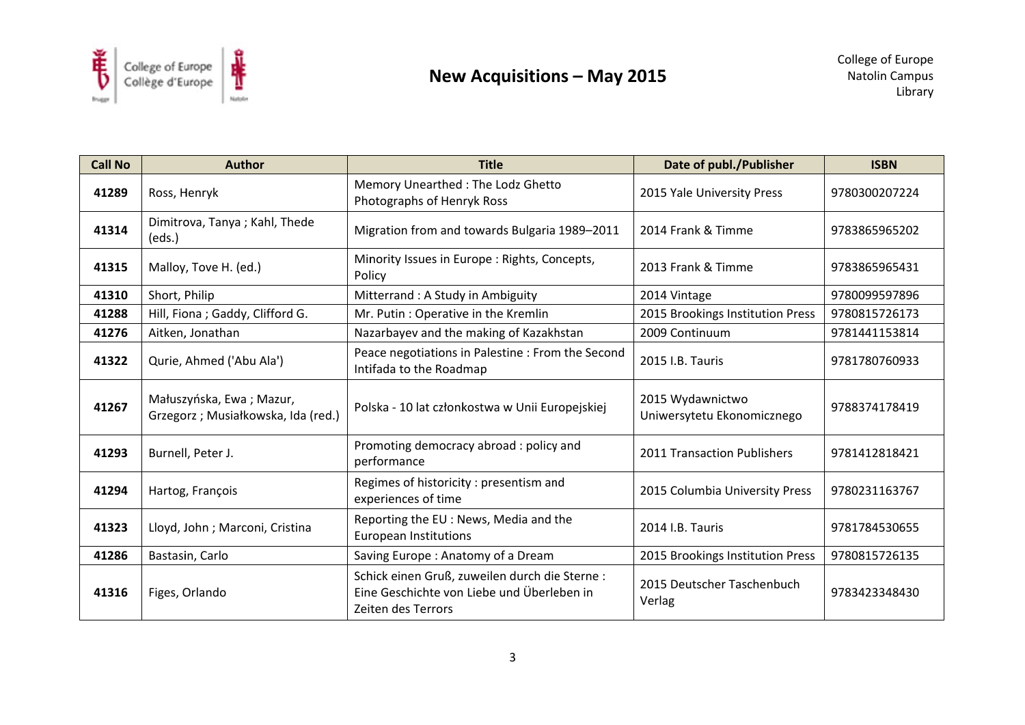

| <b>Call No</b> | <b>Author</b>                                                  | <b>Title</b>                                                                                                      | Date of publ./Publisher                        | <b>ISBN</b>   |
|----------------|----------------------------------------------------------------|-------------------------------------------------------------------------------------------------------------------|------------------------------------------------|---------------|
| 41289          | Ross, Henryk                                                   | Memory Unearthed: The Lodz Ghetto<br>Photographs of Henryk Ross                                                   | 2015 Yale University Press                     | 9780300207224 |
| 41314          | Dimitrova, Tanya; Kahl, Thede<br>(eds.)                        | Migration from and towards Bulgaria 1989-2011                                                                     | 2014 Frank & Timme                             | 9783865965202 |
| 41315          | Malloy, Tove H. (ed.)                                          | Minority Issues in Europe: Rights, Concepts,<br>Policy                                                            | 2013 Frank & Timme                             | 9783865965431 |
| 41310          | Short, Philip                                                  | Mitterrand: A Study in Ambiguity                                                                                  | 2014 Vintage                                   | 9780099597896 |
| 41288          | Hill, Fiona ; Gaddy, Clifford G.                               | Mr. Putin: Operative in the Kremlin                                                                               | 2015 Brookings Institution Press               | 9780815726173 |
| 41276          | Aitken, Jonathan                                               | Nazarbayev and the making of Kazakhstan                                                                           | 2009 Continuum                                 | 9781441153814 |
| 41322          | Qurie, Ahmed ('Abu Ala')                                       | Peace negotiations in Palestine : From the Second<br>Intifada to the Roadmap                                      | 2015 I.B. Tauris                               | 9781780760933 |
| 41267          | Małuszyńska, Ewa; Mazur,<br>Grzegorz; Musiałkowska, Ida (red.) | Polska - 10 lat członkostwa w Unii Europejskiej                                                                   | 2015 Wydawnictwo<br>Uniwersytetu Ekonomicznego | 9788374178419 |
| 41293          | Burnell, Peter J.                                              | Promoting democracy abroad : policy and<br>performance                                                            | 2011 Transaction Publishers                    | 9781412818421 |
| 41294          | Hartog, François                                               | Regimes of historicity: presentism and<br>experiences of time                                                     | 2015 Columbia University Press                 | 9780231163767 |
| 41323          | Lloyd, John; Marconi, Cristina                                 | Reporting the EU : News, Media and the<br><b>European Institutions</b>                                            | 2014 I.B. Tauris                               | 9781784530655 |
| 41286          | Bastasin, Carlo                                                | Saving Europe: Anatomy of a Dream                                                                                 | 2015 Brookings Institution Press               | 9780815726135 |
| 41316          | Figes, Orlando                                                 | Schick einen Gruß, zuweilen durch die Sterne:<br>Eine Geschichte von Liebe und Überleben in<br>Zeiten des Terrors | 2015 Deutscher Taschenbuch<br>Verlag           | 9783423348430 |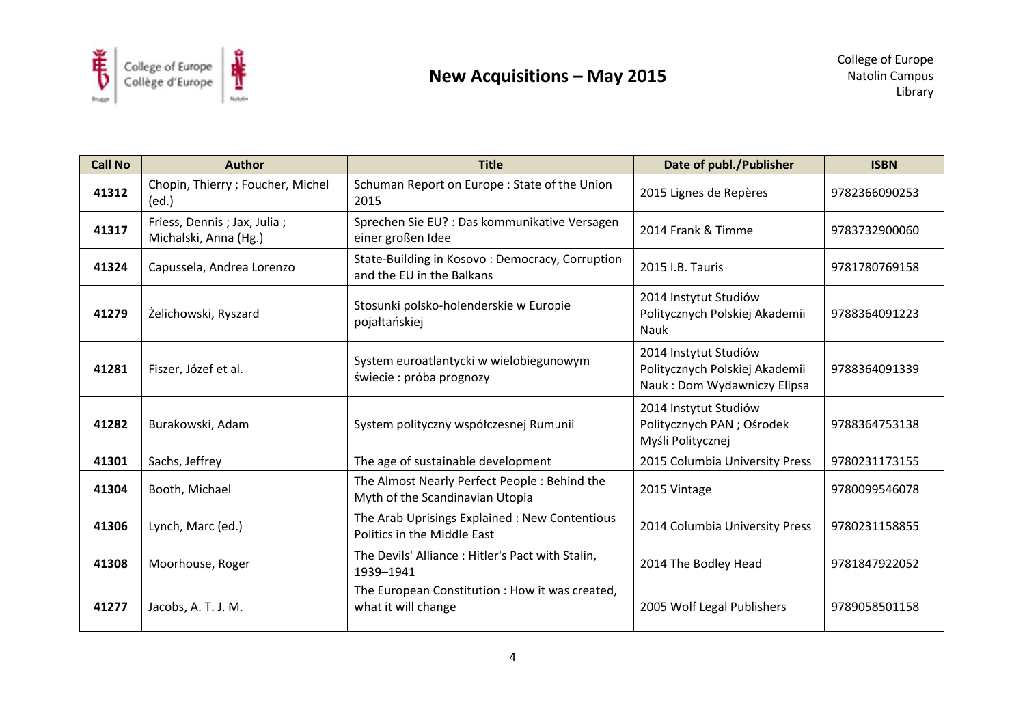

| <b>Call No</b> | <b>Author</b>                                        | <b>Title</b>                                                                    | Date of publ./Publisher                                                                | <b>ISBN</b>   |
|----------------|------------------------------------------------------|---------------------------------------------------------------------------------|----------------------------------------------------------------------------------------|---------------|
| 41312          | Chopin, Thierry ; Foucher, Michel<br>(ed.)           | Schuman Report on Europe : State of the Union<br>2015                           | 2015 Lignes de Repères                                                                 | 9782366090253 |
| 41317          | Friess, Dennis; Jax, Julia;<br>Michalski, Anna (Hg.) | Sprechen Sie EU? : Das kommunikative Versagen<br>einer großen Idee              | 2014 Frank & Timme                                                                     | 9783732900060 |
| 41324          | Capussela, Andrea Lorenzo                            | State-Building in Kosovo: Democracy, Corruption<br>and the EU in the Balkans    | 2015 I.B. Tauris                                                                       | 9781780769158 |
| 41279          | Żelichowski, Ryszard                                 | Stosunki polsko-holenderskie w Europie<br>pojałtańskiej                         | 2014 Instytut Studiów<br>Politycznych Polskiej Akademii<br>Nauk                        | 9788364091223 |
| 41281          | Fiszer, Józef et al.                                 | System euroatlantycki w wielobiegunowym<br>świecie: próba prognozy              | 2014 Instytut Studiów<br>Politycznych Polskiej Akademii<br>Nauk: Dom Wydawniczy Elipsa | 9788364091339 |
| 41282          | Burakowski, Adam                                     | System polityczny współczesnej Rumunii                                          | 2014 Instytut Studiów<br>Politycznych PAN ; Ośrodek<br>Myśli Politycznej               | 9788364753138 |
| 41301          | Sachs, Jeffrey                                       | The age of sustainable development                                              | 2015 Columbia University Press                                                         | 9780231173155 |
| 41304          | Booth, Michael                                       | The Almost Nearly Perfect People: Behind the<br>Myth of the Scandinavian Utopia | 2015 Vintage                                                                           | 9780099546078 |
| 41306          | Lynch, Marc (ed.)                                    | The Arab Uprisings Explained : New Contentious<br>Politics in the Middle East   | 2014 Columbia University Press                                                         | 9780231158855 |
| 41308          | Moorhouse, Roger                                     | The Devils' Alliance: Hitler's Pact with Stalin,<br>1939-1941                   | 2014 The Bodley Head                                                                   | 9781847922052 |
| 41277          | Jacobs, A. T. J. M.                                  | The European Constitution : How it was created,<br>what it will change          | 2005 Wolf Legal Publishers<br>9789058501158                                            |               |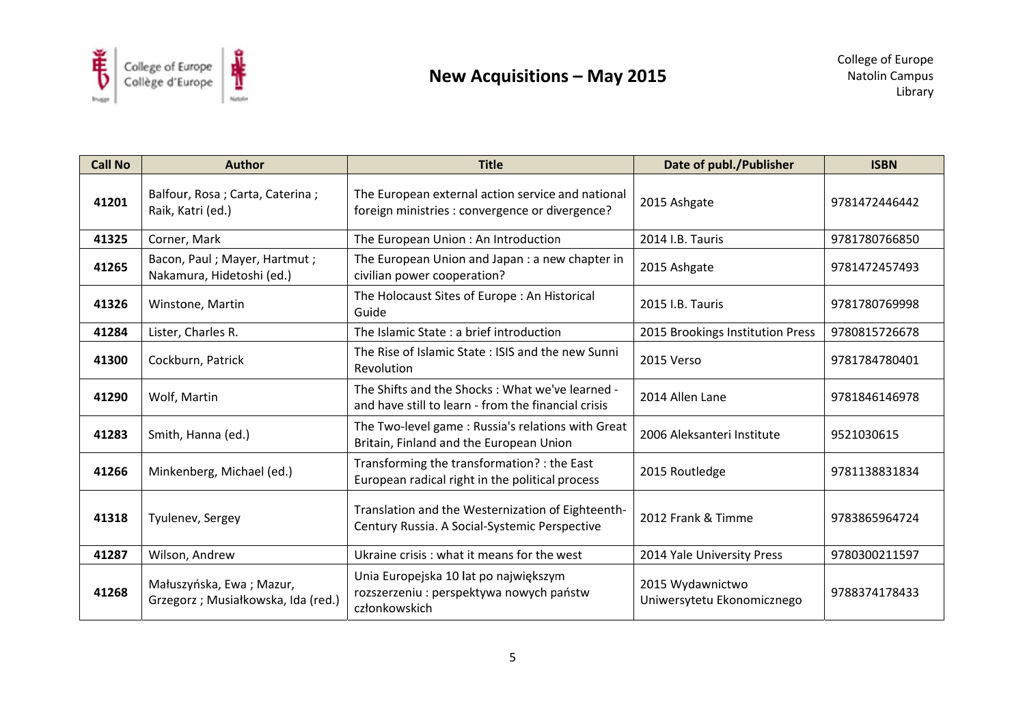

| <b>Call No</b> | <b>Author</b>                                                  | <b>Title</b>                                                                                           | Date of publ./Publisher                        | <b>ISBN</b>   |
|----------------|----------------------------------------------------------------|--------------------------------------------------------------------------------------------------------|------------------------------------------------|---------------|
| 41201          | Balfour, Rosa; Carta, Caterina;<br>Raik, Katri (ed.)           | The European external action service and national<br>foreign ministries : convergence or divergence?   | 2015 Ashgate                                   | 9781472446442 |
| 41325          | Corner, Mark                                                   | The European Union: An Introduction                                                                    | 2014 I.B. Tauris                               | 9781780766850 |
| 41265          | Bacon, Paul; Mayer, Hartmut;<br>Nakamura, Hidetoshi (ed.)      | The European Union and Japan : a new chapter in<br>civilian power cooperation?                         | 2015 Ashgate                                   | 9781472457493 |
| 41326          | Winstone, Martin                                               | The Holocaust Sites of Europe: An Historical<br>Guide                                                  | 2015 I.B. Tauris                               | 9781780769998 |
| 41284          | Lister, Charles R.                                             | The Islamic State: a brief introduction                                                                | 2015 Brookings Institution Press               | 9780815726678 |
| 41300          | Cockburn, Patrick                                              | The Rise of Islamic State: ISIS and the new Sunni<br>Revolution                                        | 2015 Verso                                     | 9781784780401 |
| 41290          | Wolf, Martin                                                   | The Shifts and the Shocks: What we've learned -<br>and have still to learn - from the financial crisis | 2014 Allen Lane                                | 9781846146978 |
| 41283          | Smith, Hanna (ed.)                                             | The Two-level game: Russia's relations with Great<br>Britain, Finland and the European Union           | 2006 Aleksanteri Institute                     | 9521030615    |
| 41266          | Minkenberg, Michael (ed.)                                      | Transforming the transformation? : the East<br>European radical right in the political process         | 2015 Routledge                                 | 9781138831834 |
| 41318          | Tyulenev, Sergey                                               | Translation and the Westernization of Eighteenth-<br>Century Russia. A Social-Systemic Perspective     | 2012 Frank & Timme                             | 9783865964724 |
| 41287          | Wilson, Andrew                                                 | Ukraine crisis: what it means for the west                                                             | 2014 Yale University Press                     | 9780300211597 |
| 41268          | Małuszyńska, Ewa; Mazur,<br>Grzegorz; Musiałkowska, Ida (red.) | Unia Europejska 10 lat po największym<br>rozszerzeniu : perspektywa nowych państw<br>członkowskich     | 2015 Wydawnictwo<br>Uniwersytetu Ekonomicznego | 9788374178433 |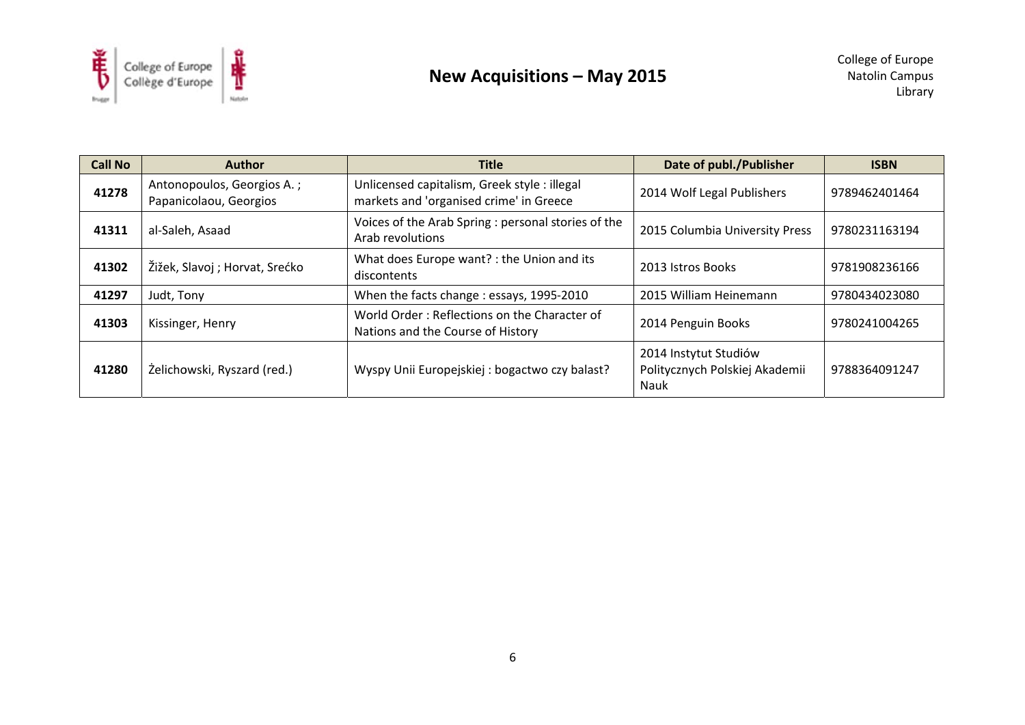

| <b>Call No</b> | <b>Author</b>                                        | <b>Title</b>                                                                            | Date of publ./Publisher                                         | <b>ISBN</b>   |
|----------------|------------------------------------------------------|-----------------------------------------------------------------------------------------|-----------------------------------------------------------------|---------------|
| 41278          | Antonopoulos, Georgios A.;<br>Papanicolaou, Georgios | Unlicensed capitalism, Greek style : illegal<br>markets and 'organised crime' in Greece | 2014 Wolf Legal Publishers                                      | 9789462401464 |
| 41311          | al-Saleh, Asaad                                      | Voices of the Arab Spring : personal stories of the<br>Arab revolutions                 | 2015 Columbia University Press                                  | 9780231163194 |
| 41302          | Žižek, Slavoj; Horvat, Srećko                        | What does Europe want? : the Union and its<br>discontents                               | 2013 Istros Books                                               | 9781908236166 |
| 41297          | Judt, Tony                                           | When the facts change: essays, 1995-2010                                                | 2015 William Heinemann                                          | 9780434023080 |
| 41303          | Kissinger, Henry                                     | World Order: Reflections on the Character of<br>Nations and the Course of History       | 2014 Penguin Books                                              | 9780241004265 |
| 41280          | Żelichowski, Ryszard (red.)                          | Wyspy Unii Europejskiej : bogactwo czy balast?                                          | 2014 Instytut Studiów<br>Politycznych Polskiej Akademii<br>Nauk | 9788364091247 |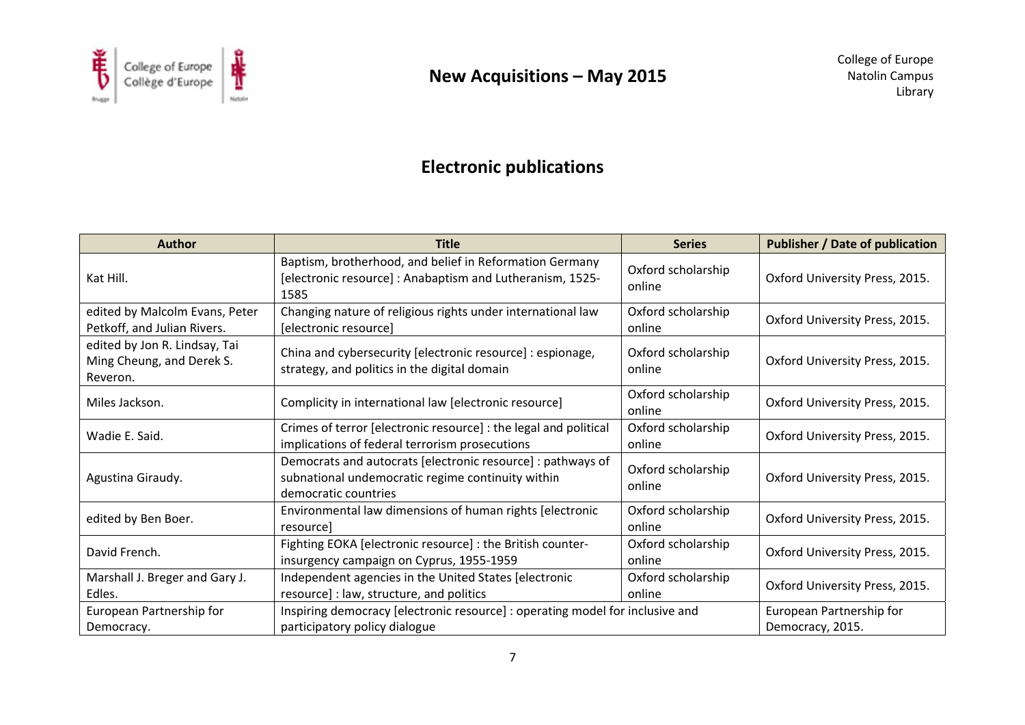

### **Electr ronic publica ations**

| <b>Author</b>                                                          | <b>Title</b>                                                                                                                             | <b>Series</b>                | <b>Publisher / Date of publication</b>       |
|------------------------------------------------------------------------|------------------------------------------------------------------------------------------------------------------------------------------|------------------------------|----------------------------------------------|
| Kat Hill.                                                              | Baptism, brotherhood, and belief in Reformation Germany<br>[electronic resource]: Anabaptism and Lutheranism, 1525-<br>1585              | Oxford scholarship<br>online | Oxford University Press, 2015.               |
| edited by Malcolm Evans, Peter<br>Petkoff, and Julian Rivers.          | Changing nature of religious rights under international law<br>[electronic resource]                                                     | Oxford scholarship<br>online | Oxford University Press, 2015.               |
| edited by Jon R. Lindsay, Tai<br>Ming Cheung, and Derek S.<br>Reveron. | China and cybersecurity [electronic resource] : espionage,<br>strategy, and politics in the digital domain                               | Oxford scholarship<br>online | Oxford University Press, 2015.               |
| Miles Jackson.                                                         | Complicity in international law [electronic resource]                                                                                    | Oxford scholarship<br>online | Oxford University Press, 2015.               |
| Wadie E. Said.                                                         | Crimes of terror [electronic resource] : the legal and political<br>implications of federal terrorism prosecutions                       | Oxford scholarship<br>online | Oxford University Press, 2015.               |
| Agustina Giraudy.                                                      | Democrats and autocrats [electronic resource] : pathways of<br>subnational undemocratic regime continuity within<br>democratic countries | Oxford scholarship<br>online | Oxford University Press, 2015.               |
| edited by Ben Boer.                                                    | Environmental law dimensions of human rights [electronic<br>resource]                                                                    | Oxford scholarship<br>online | Oxford University Press, 2015.               |
| David French.                                                          | Fighting EOKA [electronic resource] : the British counter-<br>insurgency campaign on Cyprus, 1955-1959                                   | Oxford scholarship<br>online | Oxford University Press, 2015.               |
| Marshall J. Breger and Gary J.<br>Edles.                               | Independent agencies in the United States [electronic<br>resource] : law, structure, and politics                                        | Oxford scholarship<br>online | Oxford University Press, 2015.               |
| European Partnership for<br>Democracy.                                 | Inspiring democracy [electronic resource] : operating model for inclusive and<br>participatory policy dialogue                           |                              | European Partnership for<br>Democracy, 2015. |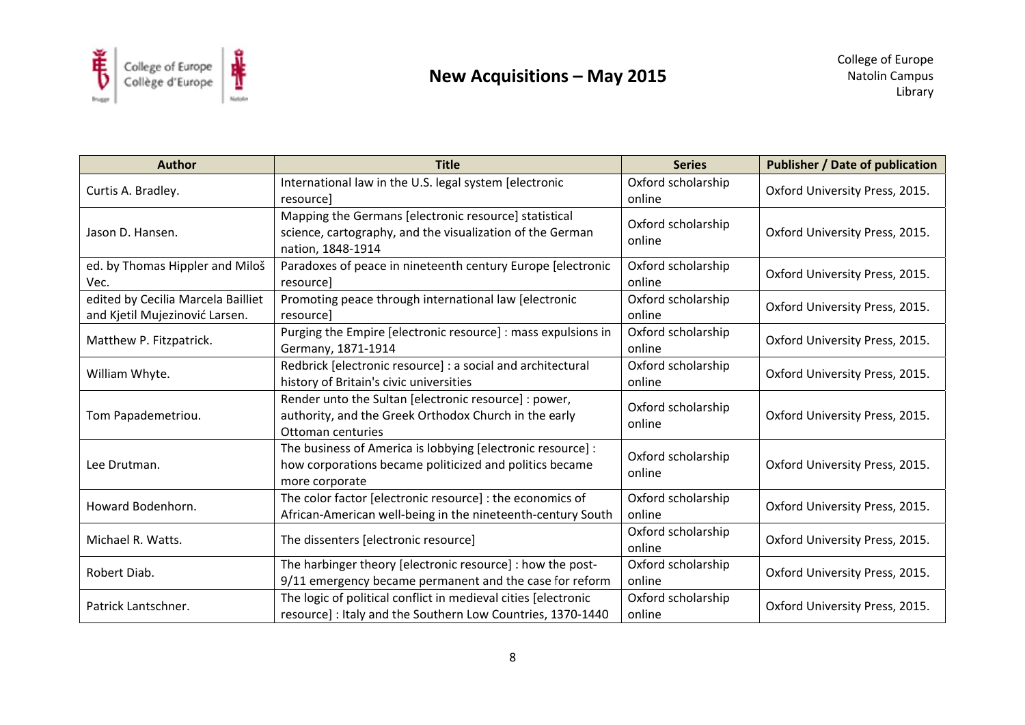

| <b>Author</b>                                                        | <b>Title</b>                                                                                                                             | <b>Series</b>                | <b>Publisher / Date of publication</b> |
|----------------------------------------------------------------------|------------------------------------------------------------------------------------------------------------------------------------------|------------------------------|----------------------------------------|
| Curtis A. Bradley.                                                   | International law in the U.S. legal system [electronic<br>resource]                                                                      | Oxford scholarship<br>online | Oxford University Press, 2015.         |
| Jason D. Hansen.                                                     | Mapping the Germans [electronic resource] statistical<br>science, cartography, and the visualization of the German<br>nation, 1848-1914  | Oxford scholarship<br>online | Oxford University Press, 2015.         |
| ed. by Thomas Hippler and Miloš<br>Vec.                              | Paradoxes of peace in nineteenth century Europe [electronic<br>resource]                                                                 | Oxford scholarship<br>online | Oxford University Press, 2015.         |
| edited by Cecilia Marcela Bailliet<br>and Kjetil Mujezinović Larsen. | Promoting peace through international law [electronic<br>resource]                                                                       | Oxford scholarship<br>online | Oxford University Press, 2015.         |
| Matthew P. Fitzpatrick.                                              | Purging the Empire [electronic resource] : mass expulsions in<br>Germany, 1871-1914                                                      | Oxford scholarship<br>online | Oxford University Press, 2015.         |
| William Whyte.                                                       | Redbrick [electronic resource] : a social and architectural<br>history of Britain's civic universities                                   | Oxford scholarship<br>online | Oxford University Press, 2015.         |
| Tom Papademetriou.                                                   | Render unto the Sultan [electronic resource] : power,<br>authority, and the Greek Orthodox Church in the early<br>Ottoman centuries      | Oxford scholarship<br>online | Oxford University Press, 2015.         |
| Lee Drutman.                                                         | The business of America is lobbying [electronic resource] :<br>how corporations became politicized and politics became<br>more corporate | Oxford scholarship<br>online | Oxford University Press, 2015.         |
| Howard Bodenhorn.                                                    | The color factor [electronic resource] : the economics of<br>African-American well-being in the nineteenth-century South                 | Oxford scholarship<br>online | Oxford University Press, 2015.         |
| Michael R. Watts.                                                    | The dissenters [electronic resource]                                                                                                     | Oxford scholarship<br>online | Oxford University Press, 2015.         |
| Robert Diab.                                                         | The harbinger theory [electronic resource] : how the post-<br>9/11 emergency became permanent and the case for reform                    | Oxford scholarship<br>online | Oxford University Press, 2015.         |
| Patrick Lantschner.                                                  | The logic of political conflict in medieval cities [electronic<br>resource] : Italy and the Southern Low Countries, 1370-1440            | Oxford scholarship<br>online | Oxford University Press, 2015.         |